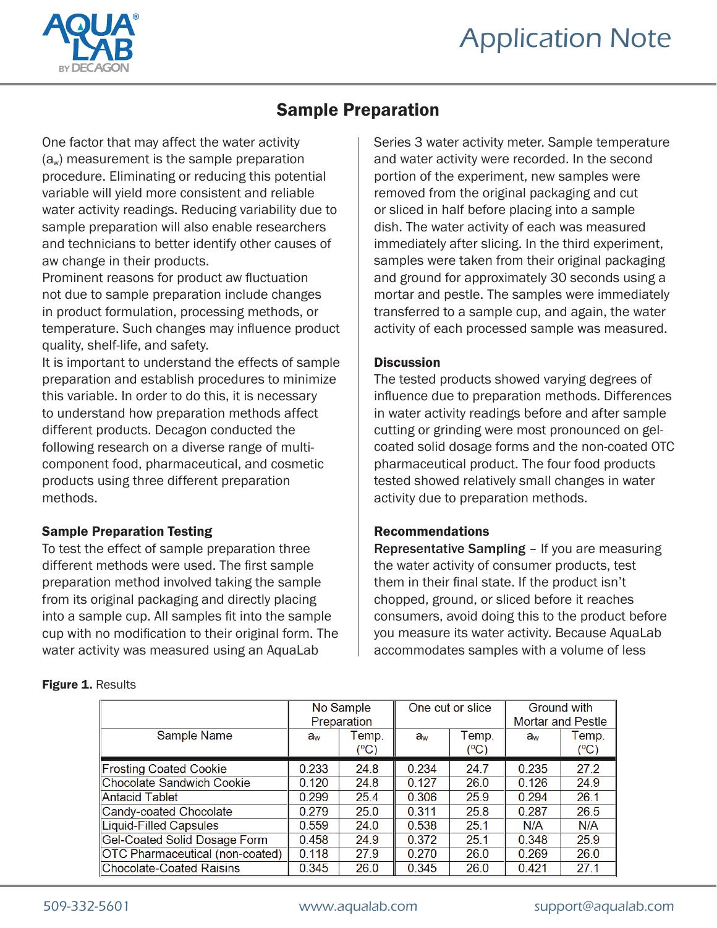

## Sample Preparation

One factor that may affect the water activity  $(a_w)$  measurement is the sample preparation procedure. Eliminating or reducing this potential variable will yield more consistent and reliable water activity readings. Reducing variability due to sample preparation will also enable researchers and technicians to better identify other causes of aw change in their products.

Prominent reasons for product aw fluctuation not due to sample preparation include changes in product formulation, processing methods, or temperature. Such changes may influence product quality, shelf-life, and safety.

It is important to understand the effects of sample preparation and establish procedures to minimize this variable. In order to do this, it is necessary to understand how preparation methods affect different products. Decagon conducted the following research on a diverse range of multicomponent food, pharmaceutical, and cosmetic products using three different preparation methods.

### Sample Preparation Testing

To test the effect of sample preparation three different methods were used. The first sample preparation method involved taking the sample from its original packaging and directly placing into a sample cup. All samples fit into the sample cup with no modification to their original form. The water activity was measured using an AquaLab

Series 3 water activity meter. Sample temperature and water activity were recorded. In the second portion of the experiment, new samples were removed from the original packaging and cut or sliced in half before placing into a sample dish. The water activity of each was measured immediately after slicing. In the third experiment, samples were taken from their original packaging and ground for approximately 30 seconds using a mortar and pestle. The samples were immediately transferred to a sample cup, and again, the water activity of each processed sample was measured.

### **Discussion**

The tested products showed varying degrees of influence due to preparation methods. Differences in water activity readings before and after sample cutting or grinding were most pronounced on gelcoated solid dosage forms and the non-coated OTC pharmaceutical product. The four food products tested showed relatively small changes in water activity due to preparation methods.

### Recommendations

Representative Sampling – If you are measuring the water activity of consumer products, test them in their final state. If the product isn't chopped, ground, or sliced before it reaches consumers, avoid doing this to the product before you measure its water activity. Because AquaLab accommodates samples with a volume of less

| Figure 1. Results |  |  |
|-------------------|--|--|
|-------------------|--|--|

|                                 | No Sample<br>Preparation |                        | One cut or slice |                        | <b>Ground with</b><br><b>Mortar and Pestle</b> |                        |
|---------------------------------|--------------------------|------------------------|------------------|------------------------|------------------------------------------------|------------------------|
| Sample Name                     | $a_{w}$                  | Temp.<br>$(^{\circ}C)$ | $a_{w}$          | Temp.<br>$(^{\circ}C)$ | $a_{w}$                                        | Temp.<br>$(^{\circ}C)$ |
| <b>Frosting Coated Cookie</b>   | 0.233                    | 24.8                   | 0.234            | 24.7                   | 0.235                                          | 27.2                   |
| Chocolate Sandwich Cookie       | 0.120                    | 24.8                   | 0.127            | 26.0                   | 0.126                                          | 24.9                   |
| Antacid Tablet                  | 0.299                    | 25.4                   | 0.306            | 25.9                   | 0.294                                          | 26.1                   |
| Candy-coated Chocolate          | 0.279                    | 25.0                   | 0.311            | 25.8                   | 0.287                                          | 26.5                   |
| <b>Liquid-Filled Capsules</b>   | 0.559                    | 24.0                   | 0.538            | 25.1                   | N/A                                            | N/A                    |
| Gel-Coated Solid Dosage Form    | 0.458                    | 24.9                   | 0.372            | 25.1                   | 0.348                                          | 25.9                   |
| OTC Pharmaceutical (non-coated) | 0.118                    | 27.9                   | 0.270            | 26.0                   | 0.269                                          | 26.0                   |
| Chocolate-Coated Raisins        | 0.345                    | 26.0                   | 0.345            | 26.0                   | 0.421                                          | 27.1                   |